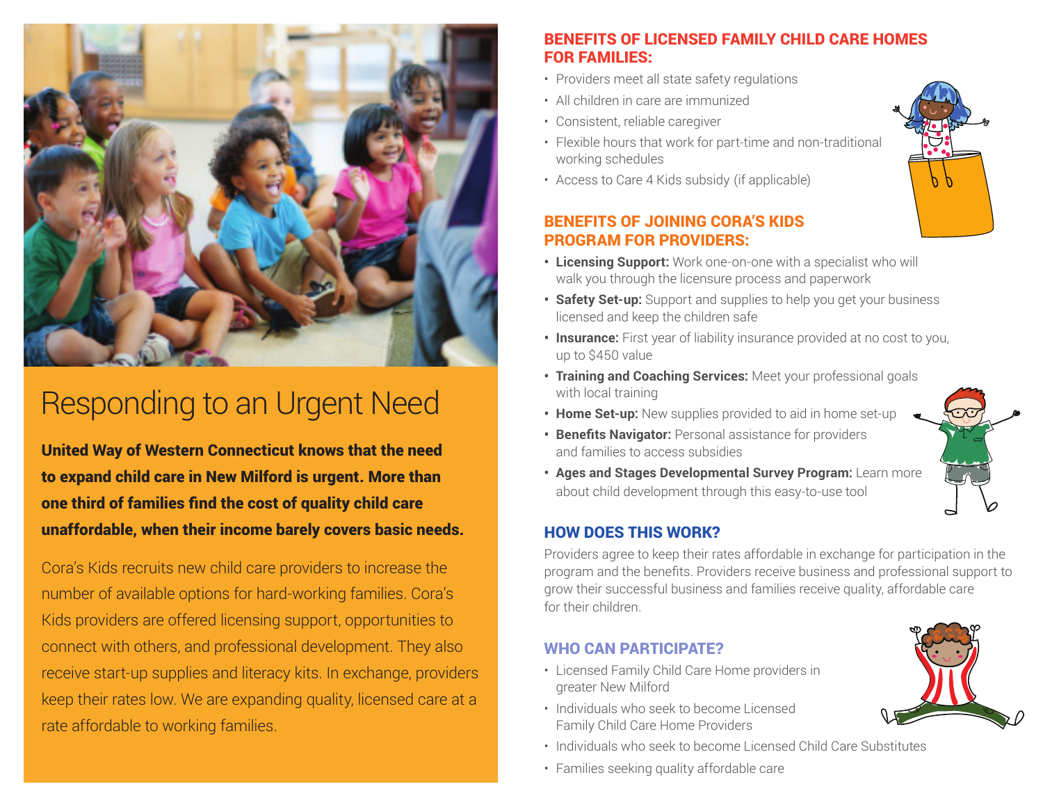

## Responding to an Urgent Need

United Way of Western Connecticut knows that the need to expand child care in New Milford is urgent. More than one third of families find the cost of quality child care unaffordable, when their income barely covers basic needs.

Cora's Kids recruits new child care providers to increase the number of available options for hard-working families. Cora's Kids providers are offered licensing support, opportunities to connect with others, and professional development. They also receive start-up supplies and literacy kits. In exchange, providers keep their rates low. We are expanding quality, licensed care at a rate affordable to working families.

#### BENEFITS OF LICENSED FAMILY CHILD CARE HOMES FOR FAMILIES:

- Providers meet all state safety regulations
- All children in care are immunized
- Consistent, reliable caregiver
- Flexible hours that work for part-time and non-traditional working schedules
- Access to Care 4 Kids subsidy (if applicable)

#### BENEFITS OF JOINING CORA'S KIDS PROGRAM FOR PROVIDERS:

- **• Licensing Support:** Work one-on-one with a specialist who will walk you through the licensure process and paperwork
- **• Safety Set-up:** Support and supplies to help you get your business licensed and keep the children safe
- **• Insurance:** First year of liability insurance provided at no cost to you, up to \$450 value
- **• Training and Coaching Services:** Meet your professional goals with local training
- **• Home Set-up:** New supplies provided to aid in home set-up
- **• Benefits Navigator:** Personal assistance for providers and families to access subsidies
- **• Ages and Stages Developmental Survey Program:** Learn more about child development through this easy-to-use tool

### HOW DOES THIS WORK?

Providers agree to keep their rates affordable in exchange for participation in the program and the benefits. Providers receive business and professional support to grow their successful business and families receive quality, affordable care for their children.

### WHO CAN PARTICIPATE?

- Licensed Family Child Care Home providers in greater New Milford
- Individuals who seek to become Licensed Family Child Care Home Providers
- Individuals who seek to become Licensed Child Care Substitutes
- Families seeking quality affordable care